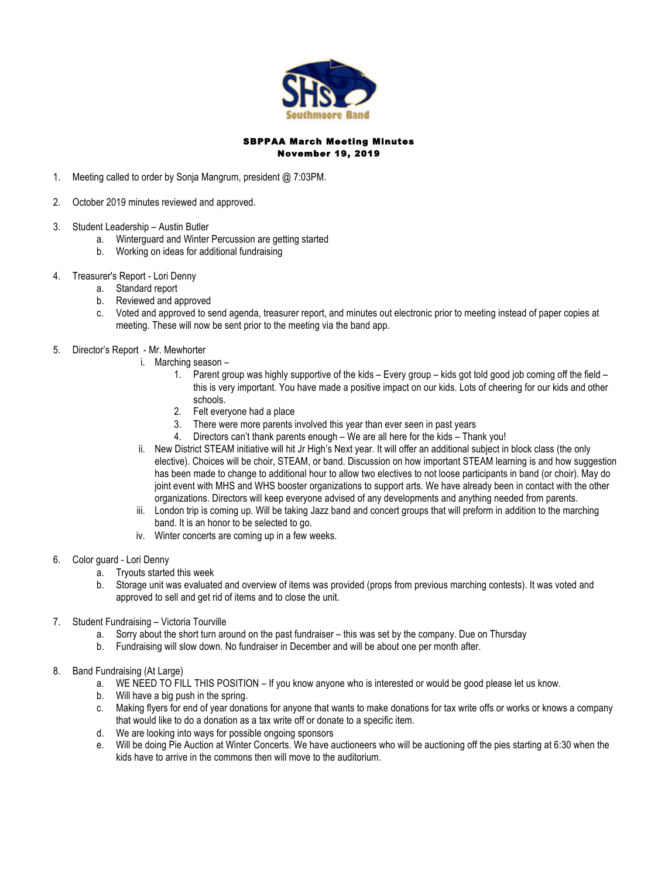

## SBPPAA March Meeting Minutes November 19, 2019

- 1. Meeting called to order by Sonja Mangrum, president @ 7:03PM.
- 2. October 2019 minutes reviewed and approved.
- 3. Student Leadership Austin Butler
	- a. Winterguard and Winter Percussion are getting started
	- b. Working on ideas for additional fundraising
- 4. Treasurer's Report Lori Denny
	- a. Standard report
	- b. Reviewed and approved
	- c. Voted and approved to send agenda, treasurer report, and minutes out electronic prior to meeting instead of paper copies at meeting. These will now be sent prior to the meeting via the band app.
- 5. Director's Report Mr. Mewhorter
	- i. Marching season
		- 1. Parent group was highly supportive of the kids Every group kids got told good job coming off the field this is very important. You have made a positive impact on our kids. Lots of cheering for our kids and other schools.
		- 2. Felt everyone had a place
		- 3. There were more parents involved this year than ever seen in past years
		- 4. Directors can't thank parents enough We are all here for the kids Thank you!
		- ii. New District STEAM initiative will hit Jr High's Next year. It will offer an additional subject in block class (the only elective). Choices will be choir, STEAM, or band. Discussion on how important STEAM learning is and how suggestion has been made to change to additional hour to allow two electives to not loose participants in band (or choir). May do joint event with MHS and WHS booster organizations to support arts. We have already been in contact with the other organizations. Directors will keep everyone advised of any developments and anything needed from parents.
		- iii. London trip is coming up. Will be taking Jazz band and concert groups that will preform in addition to the marching band. It is an honor to be selected to go.
		- iv. Winter concerts are coming up in a few weeks.
- 6. Color guard Lori Denny
	- a. Tryouts started this week
	- b. Storage unit was evaluated and overview of items was provided (props from previous marching contests). It was voted and approved to sell and get rid of items and to close the unit.
- 7. Student Fundraising Victoria Tourville
	- a. Sorry about the short turn around on the past fundraiser this was set by the company. Due on Thursday
	- b. Fundraising will slow down. No fundraiser in December and will be about one per month after.
- 8. Band Fundraising (At Large)
	- a. WE NEED TO FILL THIS POSITION If you know anyone who is interested or would be good please let us know.
	- b. Will have a big push in the spring.
	- c. Making flyers for end of year donations for anyone that wants to make donations for tax write offs or works or knows a company that would like to do a donation as a tax write off or donate to a specific item.
	- d. We are looking into ways for possible ongoing sponsors
	- e. Will be doing Pie Auction at Winter Concerts. We have auctioneers who will be auctioning off the pies starting at 6:30 when the kids have to arrive in the commons then will move to the auditorium.